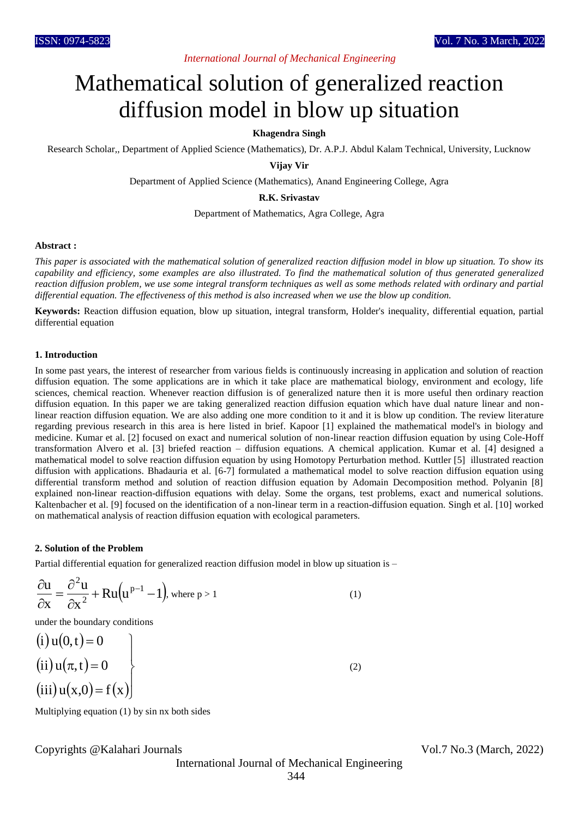# *International Journal of Mechanical Engineering*

# Mathematical solution of generalized reaction diffusion model in blow up situation

# **Khagendra Singh**

Research Scholar,, Department of Applied Science (Mathematics), Dr. A.P.J. Abdul Kalam Technical, University, Lucknow

#### **Vijay Vir**

Department of Applied Science (Mathematics), Anand Engineering College, Agra

### **R.K. Srivastav**

Department of Mathematics, Agra College, Agra

#### **Abstract :**

*This paper is associated with the mathematical solution of generalized reaction diffusion model in blow up situation. To show its capability and efficiency, some examples are also illustrated. To find the mathematical solution of thus generated generalized reaction diffusion problem, we use some integral transform techniques as well as some methods related with ordinary and partial differential equation. The effectiveness of this method is also increased when we use the blow up condition.*

**Keywords:** Reaction diffusion equation, blow up situation, integral transform, Holder's inequality, differential equation, partial differential equation

#### **1. Introduction**

In some past years, the interest of researcher from various fields is continuously increasing in application and solution of reaction diffusion equation. The some applications are in which it take place are mathematical biology, environment and ecology, life sciences, chemical reaction. Whenever reaction diffusion is of generalized nature then it is more useful then ordinary reaction diffusion equation. In this paper we are taking generalized reaction diffusion equation which have dual nature linear and nonlinear reaction diffusion equation. We are also adding one more condition to it and it is blow up condition. The review literature regarding previous research in this area is here listed in brief. Kapoor [1] explained the mathematical model's in biology and medicine. Kumar et al. [2] focused on exact and numerical solution of non-linear reaction diffusion equation by using Cole-Hoff transformation Alvero et al. [3] briefed reaction – diffusion equations. A chemical application. Kumar et al. [4] designed a mathematical model to solve reaction diffusion equation by using Homotopy Perturbation method. Kuttler [5] illustrated reaction diffusion with applications. Bhadauria et al. [6-7] formulated a mathematical model to solve reaction diffusion equation using differential transform method and solution of reaction diffusion equation by Adomain Decomposition method. Polyanin [8] explained non-linear reaction-diffusion equations with delay. Some the organs, test problems, exact and numerical solutions. Kaltenbacher et al. [9] focused on the identification of a non-linear term in a reaction-diffusion equation. Singh et al. [10] worked on mathematical analysis of reaction diffusion equation with ecological parameters.

#### **2. Solution of the Problem**

Partial differential equation for generalized reaction diffusion model in blow up situation is –

$$
\frac{\partial u}{\partial x} = \frac{\partial^2 u}{\partial x^2} + Ru(u^{p-1} - 1), \text{ where } p > 1
$$
 (1)

under the boundary conditions

 $(i)$  u(0, t) = 0  $(ii)$   $u(\pi, t)$  $(iii) u(x,0) = f(x)$  $\perp$ iii)  $u(x,0) = f(x)$  $\left| \right|$ ii)  $u(\pi, t) = 0$   $\Big\}$  $\begin{matrix} \phantom{-} \end{matrix}$ (2)

Multiplying equation (1) by sin nx both sides

Copyrights @Kalahari Journals Vol.7 No.3 (March, 2022)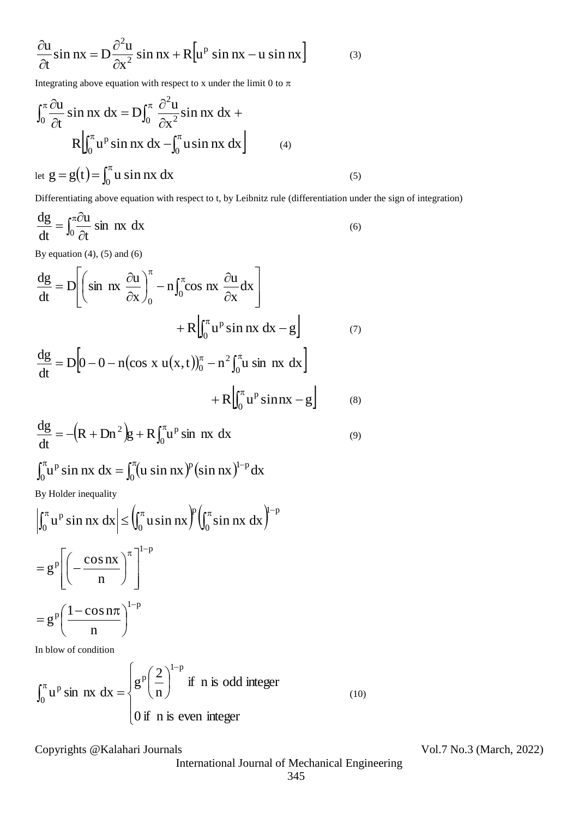$$
\frac{\partial u}{\partial t} \sin nx = D \frac{\partial^2 u}{\partial x^2} \sin nx + R \Big[ u^p \sin nx - u \sin nx \Big]
$$
(3)

Integrating above equation with respect to x under the limit 0 to  $\pi$ 

$$
\int_0^{\pi} \frac{\partial u}{\partial t} \sin nx \, dx = D \int_0^{\pi} \frac{\partial^2 u}{\partial x^2} \sin nx \, dx +
$$
  
\n
$$
R \Big| \int_0^{\pi} u^p \sin nx \, dx - \int_0^{\pi} u \sin nx \, dx \Big|
$$
  
\nlet  $g = g(t) = \int_0^{\pi} u \sin nx \, dx$  (5)

Differentiating above equation with respect to t, by Leibnitz rule (differentiation under the sign of integration)

$$
\frac{dg}{dt} = \int_0^{\pi} \frac{\partial u}{\partial t} \sin nx \, dx \tag{6}
$$

By equation  $(4)$ ,  $(5)$  and  $(6)$ 

$$
\frac{6}{\alpha t} \sin nx = D \frac{6}{\alpha x} \sin nx + R[u^p \sin nx - u \sin nx]
$$
\n(3)  
\nIntegrating above equation with respect to x under the limit 0 to  $\pi$   
\n
$$
\int_0^{\pi} \frac{\partial u}{\partial t} \sin nx \, dx = D \int_0^{\pi} \frac{\partial^2 u}{\partial x^2} \sin nx \, dx + R \Big|_0^{\pi} u^p \sin nx \, dx - \int_0^{\pi} u \sin nx \, dx
$$
\n(c)  
\n
$$
\frac{d}{dt} = g(t) = \int_0^{\pi} u \sin nx \, dx
$$
\n(c)  
\nDifferentiating above equation with respect to t, by Leibniz rule (differentiation under  
\n
$$
\frac{dg}{dt} = \int_0^{\pi} \frac{\partial u}{\partial t} \sin nx \, dx
$$
\n(6)  
\nBy equation (4), (5) and (6)  
\n
$$
\frac{dg}{dt} = D \Big[ \Big( \sin nx \frac{\partial u}{\partial x} \Big)_0^{\pi} - n \int_0^{\pi} \cos nx \frac{\partial u}{\partial x} dx \Big] + R \Big|_0^{\pi} u^p \sin nx \, dx - g \Big] \qquad (7)\n
$$
\frac{dg}{dt} = D \Big[ 0 - 0 - n(\cos x u(x, t))_0^{\pi} - n^2 \int_0^{\pi} u \sin nx \, dx \Big] + R \Big|_0^{\pi} u^p \sin nx \, dx
$$
\n(9)  
\n
$$
\frac{dg}{dt} = -(R + Dn^2)g + R \int_0^{\pi} u^p \sin nx \, dx
$$
\n(9)  
\n
$$
\int_0^{\pi} u^p \sin nx \, dx = \int_0^{\pi} (u \sin nx)^p (\sin nx)^{1-p} dx
$$
\nBy Holder inequality  
\n
$$
\int_0^{\pi} u^p \sin nx \, dx \Big| \leq \int_0^{\pi} u \sin nx \, dx \int_0^{\pi} \int_0^{\pi} \sin nx \, dx \Big|_0^{\pi-p}
$$
\n
$$
= g^p \Big[ \left( -\frac{\cos nx}{n} \right)_{1-p}^{\pi-1-p}
$$
\nIn blow of condition  
\n
$$
\int_0^{\pi} u^p \sin nx \, dx = \begin{cases}
$$
$$

$$
\frac{dg}{dt} = -\left(R + Dn^2\right)g + R\int_0^\pi u^p \sin nx \, dx\tag{9}
$$

$$
\int_0^{\pi} u^p \sin nx \, dx = \int_0^{\pi} (u \sin nx)^p (\sin nx)^{1-p} dx
$$

By Holder inequality

$$
\left| \int_0^{\pi} u^p \sin nx \, dx \right| \leq \left( \int_0^{\pi} u \sin nx \right)^p \left( \int_0^{\pi} \sin nx \, dx \right)^{1-p}
$$

$$
= g^p \left[ \left( -\frac{\cos nx}{n} \right)^{\pi} \right]^{1-p}
$$

$$
= g^p \left( \frac{1 - \cos n\pi}{n} \right)^{1-p}
$$
In blow of condition

In blow of condition

$$
\int_0^{\pi} u^p \sin nx \, dx = \begin{cases} g^p \left(\frac{2}{n}\right)^{1-p} & \text{if } n \text{ is odd integer} \\ 0 & \text{if } n \text{ is even integer} \end{cases}
$$
(10)

Copyrights @Kalahari Journals Vol.7 No.3 (March, 2022)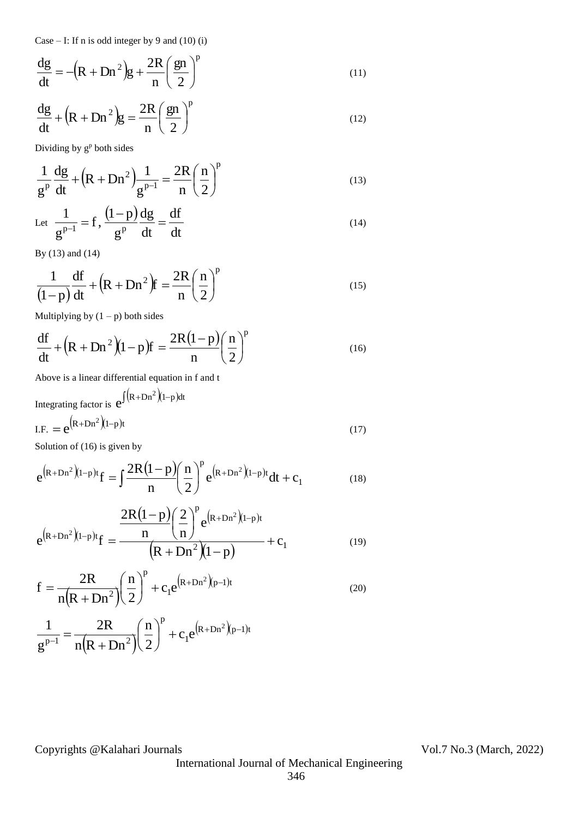Case – I: If n is odd integer by 9 and  $(10)$  (i)

$$
\frac{dg}{dt} = -\left(R + Dn^2\right)g + \frac{2R}{n}\left(\frac{gn}{2}\right)^p\tag{11}
$$

$$
\frac{dg}{dt} + (R + Dn^2)g = \frac{2R}{n} \left(\frac{gn}{2}\right)^p
$$
\n(12)

Dividing by  $g^p$  both sides

$$
\frac{1}{g^{p}}\frac{dg}{dt} + (R + Dn^{2})\frac{1}{g^{p-1}} = \frac{2R}{n}\left(\frac{n}{2}\right)^{p}
$$
\n(13)

Let 
$$
\frac{1}{g^{p-1}} = f
$$
,  $\frac{(1-p)}{g^p} \frac{dg}{dt} = \frac{df}{dt}$  (14)

By (13) and (14)

$$
\frac{1}{(1-p)}\frac{df}{dt} + \left(R + Dn^2\right)f = \frac{2R}{n}\left(\frac{n}{2}\right)^p\tag{15}
$$

Multiplying by  $(1 - p)$  both sides

$$
\frac{df}{dt} + (R + Dn^2)(1-p)f = \frac{2R(1-p)}{n}\left(\frac{n}{2}\right)^p\tag{16}
$$

Above is a linear differential equation in f and t

Integrating factor is 
$$
e^{\int (R+Dn^2)(1-p)dt}
$$
  
I.F. =  $e^{(R+Dn^2)(1-p)t}$  (17)

Solution of (16) is given by

$$
e^{(R+Dn^2)(1-p)t}f = \int \frac{2R(1-p)}{n} \left(\frac{n}{2}\right)^p e^{(R+Dn^2)(1-p)t} dt + c_1
$$
 (18)

$$
e^{(R+Dn^{2})(1-p)t}f = \frac{\frac{2R(1-p)}{n} \left(\frac{2}{n}\right)^{p} e^{(R+Dn^{2})(1-p)t}}{(R+Dn^{2})(1-p)} + c_{1}
$$
(19)

$$
f = \frac{2R}{n(R + Dn^{2})} \left(\frac{n}{2}\right)^{p} + c_{1}e^{(R + Dn^{2})(p-1)t}
$$
\n(20)

$$
\frac{1}{g^{p-1}} = \frac{2R}{n(R+Dn^2)} \left(\frac{n}{2}\right)^p + c_1 e^{(R+Dn^2)(p-1)t}
$$

Copyrights @Kalahari Journals Vol.7 No.3 (March, 2022)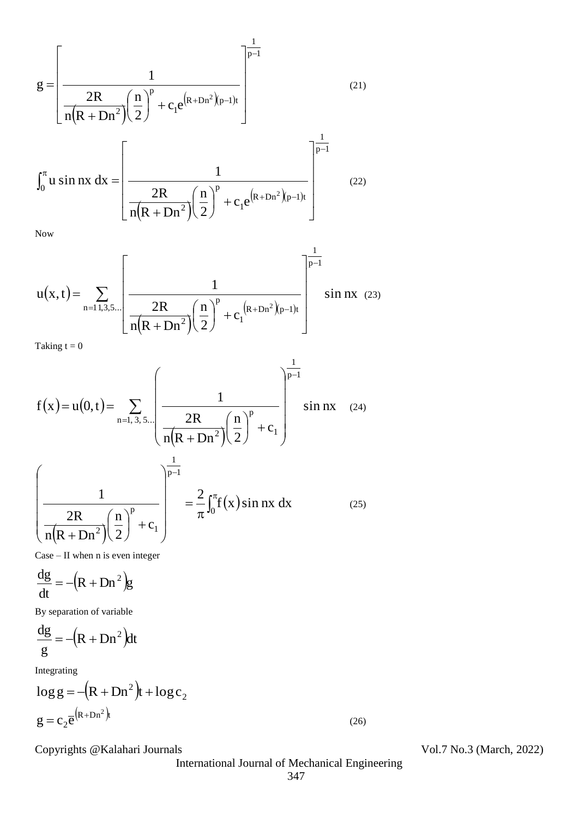$$
g = \left[\frac{1}{\frac{2R}{n(R+Dn^{2})}\left(\frac{n}{2}\right)^{p} + c_{1}e^{(R+Dn^{2})(p-1)t}}\right]^{1}
$$
(21)  

$$
\int_{0}^{\pi} u \sin nx \, dx = \left[\frac{1}{\frac{2R}{n(R+Dn^{2})}\left(\frac{n}{2}\right)^{p} + c_{1}e^{(R+Dn^{2})(p-1)t}}\right]^{1}
$$
(22)

Now

$$
u(x,t) = \sum_{n=1,3,5...} \left[ \frac{1}{n(R+Dn^{2})} \left( \frac{n}{2} \right)^{p} + c_{1}^{(R+Dn^{2})}(p-1)t} \right]^{-\frac{1}{p-1}} \sin nx \quad (23)
$$

Taking  $t = 0$ 

$$
f(x) = u(0, t) = \sum_{n=1, 3, 5} \left( \frac{1}{n(R + Dn^{2})} \left( \frac{n}{2} \right)^{p} + c_{1} \right)^{\frac{1}{p-1}} \sin nx \quad (24)
$$

$$
\left( \frac{1}{n(R + Dn^{2})} \left( \frac{n}{2} \right)^{p} + c_{1} \right)^{\frac{1}{p-1}} = \frac{2}{\pi} \int_{0}^{\pi} f(x) \sin nx \, dx \quad (25)
$$

Case – II when n is even integer

$$
\frac{dg}{dt} = -\left(R + Dn^2\right)g
$$

By separation of variable

$$
\frac{\mathrm{dg}}{\mathrm{g}} = -\left(\mathrm{R} + \mathrm{D} \mathrm{n}^2\right) \mathrm{dt}
$$

Integrating

$$
\log g = -(R + Dn^2)t + \log c_2
$$
  
 
$$
g = c_2 \overline{e}^{(R + Dn^2)t}
$$

 $\ddot{\phantom{a}}$ 

Copyrights @Kalahari Journals Vol.7 No.3 (March, 2022)

International Journal of Mechanical Engineering

(26)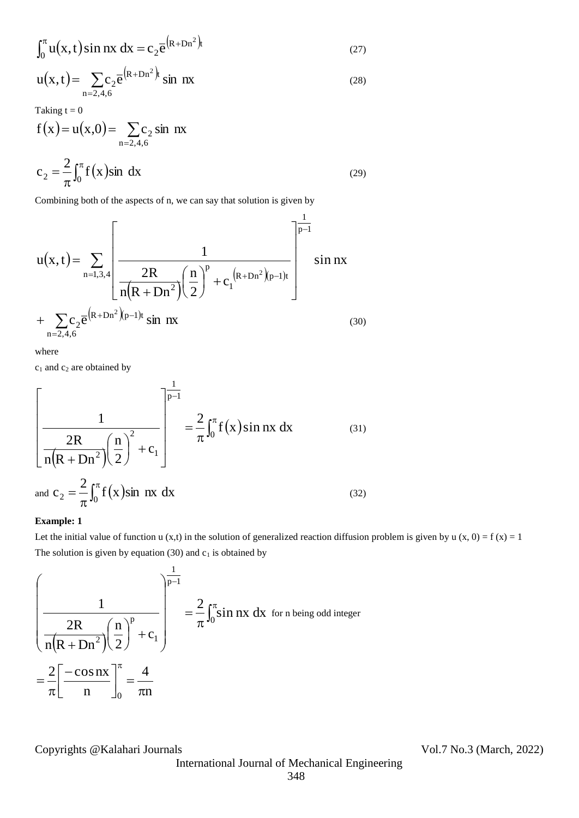$$
\int_0^\pi u(x,t)\sin nx\,dx = c_2 \overline{e}^{(R+Dn^2)t}
$$
\n(27)

$$
u(x,t) = \sum_{n=2,4,6} c_2 \overline{e}^{(R+Dn^2)t} \sin nx
$$
 (28)

Taking  $t = 0$ 

$$
f(x) = u(x,0) = \sum_{n=2,4,6} c_2 \sin nx
$$
  

$$
c_2 = \frac{2}{\pi} \int_0^{\pi} f(x) \sin dx
$$
 (29)

Combining both of the aspects of n, we can say that solution is given by

$$
u(x,t) = \sum_{n=1,3,4} \left[ \frac{1}{n(R+Dn^{2})} \left( \frac{n}{2} \right)^{p} + c_{1}^{(R+Dn^{2})}(p-1)t \right]^{-\frac{1}{p-1}} \sin nx
$$
  
+ 
$$
\sum_{n=2,4,6} c_{2} \overline{e}^{(R+Dn^{2})}(p-1)t \sin nx
$$
 (30)

where

 $c_1$  and  $c_2$  are obtained by

$$
\left[\frac{1}{\frac{2R}{n(R+Dn^{2})}\left(\frac{n}{2}\right)^{2}+c_{1}}\right]^{\frac{1}{p-1}} = \frac{2}{\pi} \int_{0}^{\pi} f(x) \sin nx \, dx \qquad (31)
$$
\nand  $c_{2} = \frac{2}{\pi} \int_{0}^{\pi} f(x) \sin nx \, dx \qquad (32)$ 

#### **Example: 1**

Let the initial value of function u (x,t) in the solution of generalized reaction diffusion problem is given by u (x, 0) = f (x) = 1 The solution is given by equation (30) and  $c_1$  is obtained by

$$
\int_{0}^{1} u(x, t) \sin nx \, dx = c_2 \overline{e}^{(k+Dn^2)} \sin nx \qquad (27)
$$
\n
$$
u(x, t) = \sum_{n=2,4,6} c_2 \overline{e}^{(k+Dn^2)} \sin nx \qquad (28)
$$
\nTaking  $t = 0$   
\n
$$
f(x) = u(x, 0) = \sum_{n=2,4,6} c_2 \sin nx
$$
\n
$$
c_2 = \frac{2}{\pi} \int_{0}^{\pi} f(x) \sin dx \qquad (29)
$$
\nCombining both of the aspects of n, we can say that solution is given by\n
$$
u(x, t) = \sum_{n=1,3,4} \left[ \frac{1}{n(R+Dn^2)(2\pi)^n} \left( \frac{n}{2} \right)^n + c_1^{(R+Dn^2)(p-1)t} \right] \sin nx
$$
\n
$$
+ \sum_{n=2,4,6} c_2 \overline{e}^{(R+Dn^2)(p-1)t} \sin nx \qquad (30)
$$
\nwhere\n
$$
c_1 \text{ and } c_2 \text{ are obtained by}
$$
\n
$$
\left[ \frac{1}{n(R+Dn^2)(2\pi)^2 + c_1} \right] = \frac{2}{\pi} \int_{0}^{\pi} f(x) \sin nx \, dx \qquad (31)
$$
\nand\n
$$
c_2 = \frac{2}{\pi} \int_{0}^{\pi} f(x) \sin nx \, dx \qquad (32)
$$
\nand\n
$$
c_2 = \frac{2}{\pi} \int_{0}^{\pi} f(x) \sin nx \, dx \qquad (32)
$$
\n
$$
\text{Example 1}
$$
\nLet the initial value of function  $u(x, t)$  in the solution of generalized reaction diffusive\nThe solution is given by equation (30) and  $c_1$  is obtained by\n
$$
\left[ \frac{1}{n(R+Dn^2)(2\pi)^{p-1}} \right] = \frac{2}{\pi} \int_{0}^{\pi} \sin nx \, dx \text{ for n being odd integer}
$$
\n
$$
= \frac{2}{\pi} \left[ \frac{-\cos nx}{n} \right]_{0}^{\pi} = \frac{4}{\pi n}
$$
\nCopyright.

Copyrights @Kalahari Journals Vol.7 No.3 (March, 2022)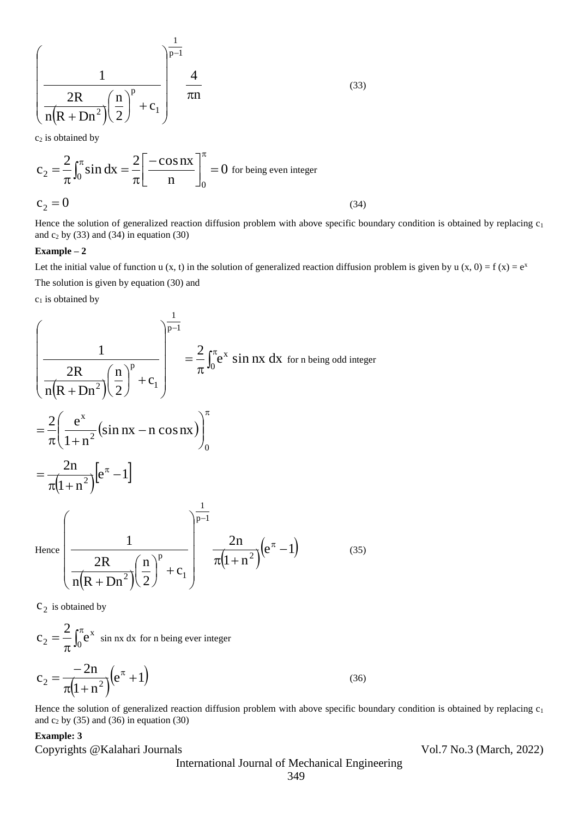$$
\left(\frac{1}{\frac{2R}{n(R+Dn^2)}\left(\frac{n}{2}\right)^p + c_1}\right)^{\frac{1}{p-1}} \frac{4}{\pi n}
$$
\n(33)

c<sub>2</sub> is obtained by

$$
c_2 = \frac{2}{\pi} \int_0^{\pi} \sin dx = \frac{2}{\pi} \left[ \frac{-\cos nx}{n} \right]_0^{\pi} = 0 \text{ for being even integer}
$$
  

$$
c_2 = 0 \tag{34}
$$

Hence the solution of generalized reaction diffusion problem with above specific boundary condition is obtained by replacing  $c_1$ and  $c_2$  by (33) and (34) in equation (30)

#### **Example – 2**

Let the initial value of function u (x, t) in the solution of generalized reaction diffusion problem is given by u (x, 0) = f (x) =  $e^x$ The solution is given by equation (30) and

 $c_1$  is obtained by

$$
\left(\frac{1}{\frac{2R}{n(R+Dn^{2})}\left(\frac{n}{2}\right)^{p}+c_{1}}\right)^{\frac{1}{p-1}} = \frac{2}{\pi}\int_{0}^{\pi}e^{x} \sin nx \,dx \text{ for n being odd integer}
$$

$$
= \frac{2}{\pi}\left(\frac{e^{x}}{1+n^{2}}\left(\sin nx - n \cos nx\right)\right)_{0}^{\pi}
$$

$$
= \frac{2n}{\pi(1+n^{2})}\left[e^{\pi}-1\right]
$$
Hence
$$
\left(\frac{1}{\frac{2R}{n(R+Dn^{2})}\left(\frac{n}{2}\right)^{p}+c_{1}}\right)^{\frac{1}{p-1}} = \frac{2n}{\pi(1+n^{2})}\left(e^{\pi}-1\right) \qquad (35)
$$

 $c_2$  is obtained by

$$
c_2 = \frac{2}{\pi} \int_0^{\pi} e^x \sin nx \, dx \text{ for n being ever integer}
$$

$$
c_2 = \frac{-2n}{\pi(1+n^2)} \left(e^{\pi} + 1\right)
$$
 (36)

Hence the solution of generalized reaction diffusion problem with above specific boundary condition is obtained by replacing  $c_1$ and  $c_2$  by (35) and (36) in equation (30)

## **Example: 3**

Copyrights @Kalahari Journals Vol.7 No.3 (March, 2022)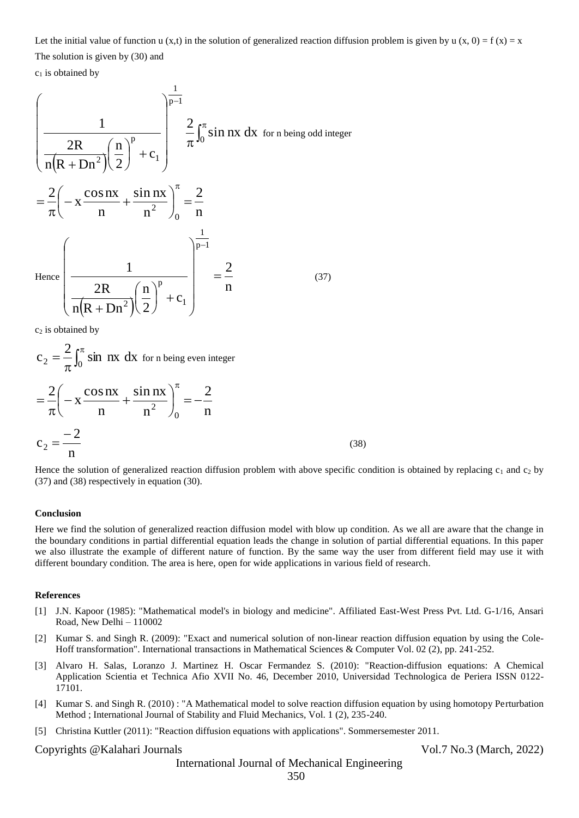Let the initial value of function u (x,t) in the solution of generalized reaction diffusion problem is given by u (x, 0) = f (x) = x The solution is given by (30) and

 $c_1$  is obtained by

$$
\left(\frac{1}{\frac{2R}{n(R+Dn^2)}\left(\frac{n}{2}\right)^p + c_1}\right)^{\frac{1}{p-1}} \frac{2}{\pi} \int_0^{\pi} \sin nx \, dx \text{ for n being odd integer}
$$

$$
= \frac{2}{\pi} \left(-x \frac{\cos nx}{n} + \frac{\sin nx}{n^2}\right)_0^{\pi} = \frac{2}{n}
$$

$$
\text{Hence } \left(\frac{1}{\frac{2R}{n(R+Dn^2)}\left(\frac{n}{2}\right)^p + c_1}\right)^{\frac{1}{p-1}} = \frac{2}{n}
$$
(37)

 $c<sub>2</sub>$  is obtained by

$$
c_2 = \frac{2}{\pi} \int_0^{\pi} \sin nx \, dx \text{ for n being even integer}
$$
  
=  $\frac{2}{\pi} \left( -x \frac{\cos nx}{n} + \frac{\sin nx}{n^2} \right)_0^{\pi} = -\frac{2}{n}$   

$$
c_2 = \frac{-2}{n}
$$
 (38)

Hence the solution of generalized reaction diffusion problem with above specific condition is obtained by replacing  $c_1$  and  $c_2$  by (37) and (38) respectively in equation (30).

#### **Conclusion**

Here we find the solution of generalized reaction diffusion model with blow up condition. As we all are aware that the change in the boundary conditions in partial differential equation leads the change in solution of partial differential equations. In this paper we also illustrate the example of different nature of function. By the same way the user from different field may use it with different boundary condition. The area is here, open for wide applications in various field of research.

#### **References**

- [1] J.N. Kapoor (1985): "Mathematical model's in biology and medicine". Affiliated East-West Press Pvt. Ltd. G-1/16, Ansari Road, New Delhi – 110002
- [2] Kumar S. and Singh R. (2009): "Exact and numerical solution of non-linear reaction diffusion equation by using the Cole-Hoff transformation". International transactions in Mathematical Sciences & Computer Vol. 02 (2), pp. 241-252.
- [3] Alvaro H. Salas, Loranzo J. Martinez H. Oscar Fermandez S. (2010): "Reaction-diffusion equations: A Chemical Application Scientia et Technica Afio XVII No. 46, December 2010, Universidad Technologica de Periera ISSN 0122- 17101.
- [4] Kumar S. and Singh R. (2010) : "A Mathematical model to solve reaction diffusion equation by using homotopy Perturbation Method ; International Journal of Stability and Fluid Mechanics, Vol. 1 (2), 235-240.
- [5] Christina Kuttler (2011): "Reaction diffusion equations with applications". Sommersemester 2011.

#### Copyrights @Kalahari Journals Vol.7 No.3 (March, 2022)